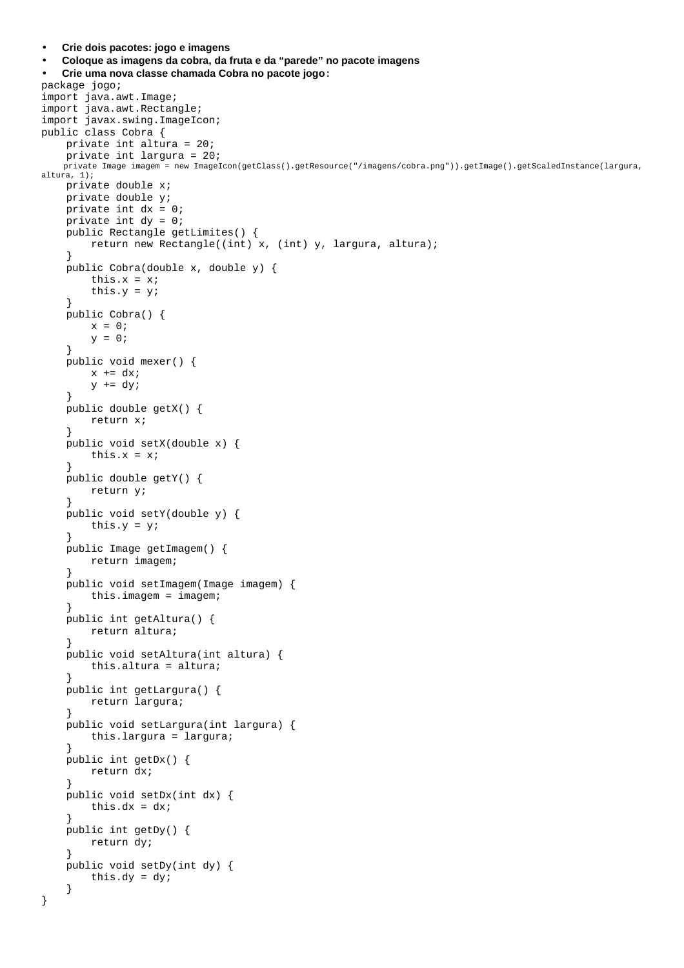```
• Coloque as imagens da cobra, da fruta e da "parede" no pacote imagens 
• Crie uma nova classe chamada Cobra no pacote jogo: 
package jogo; 
import java.awt.Image; 
import java.awt.Rectangle; 
import javax.swing.ImageIcon; 
public class Cobra { 
     private int altura = 20; 
     private int largura = 20; 
    private Image imagem = new ImageIcon(getClass().getResource("/imagens/cobra.png")).getImage().getScaledInstance(largura, 
altura, 1); 
     private double x; 
     private double y; 
     private int dx = 0; 
     private int dy = 0; 
     public Rectangle getLimites() { 
          return new Rectangle((int) x, (int) y, largura, altura); 
     } 
     public Cobra(double x, double y) { 
          this.x = x; 
         this.y = y;
     } 
     public Cobra() { 
        x = 0;y = 0; } 
     public void mexer() { 
        x \leftarrow dx;
         y \neq x \, dy } 
     public double getX() { 
         return x; 
     } 
     public void setX(double x) { 
          this.x = x; 
     } 
     public double getY() { 
         return y; 
     } 
     public void setY(double y) { 
         this.y = yi } 
     public Image getImagem() { 
         return imagem; 
     } 
     public void setImagem(Image imagem) { 
          this.imagem = imagem; 
     } 
     public int getAltura() { 
         return altura; 
     } 
     public void setAltura(int altura) { 
          this.altura = altura; 
     } 
     public int getLargura() { 
         return largura; 
     } 
     public void setLargura(int largura) { 
         this.largura = largura; 
     } 
     public int getDx() { 
         return dx; 
     } 
     public void setDx(int dx) { 
        this.dx = dx;
     } 
     public int getDy() { 
         return dy; 
     } 
     public void setDy(int dy) { 
        this.dy = dy;
     } 
}
```
• **Crie dois pacotes: jogo e imagens**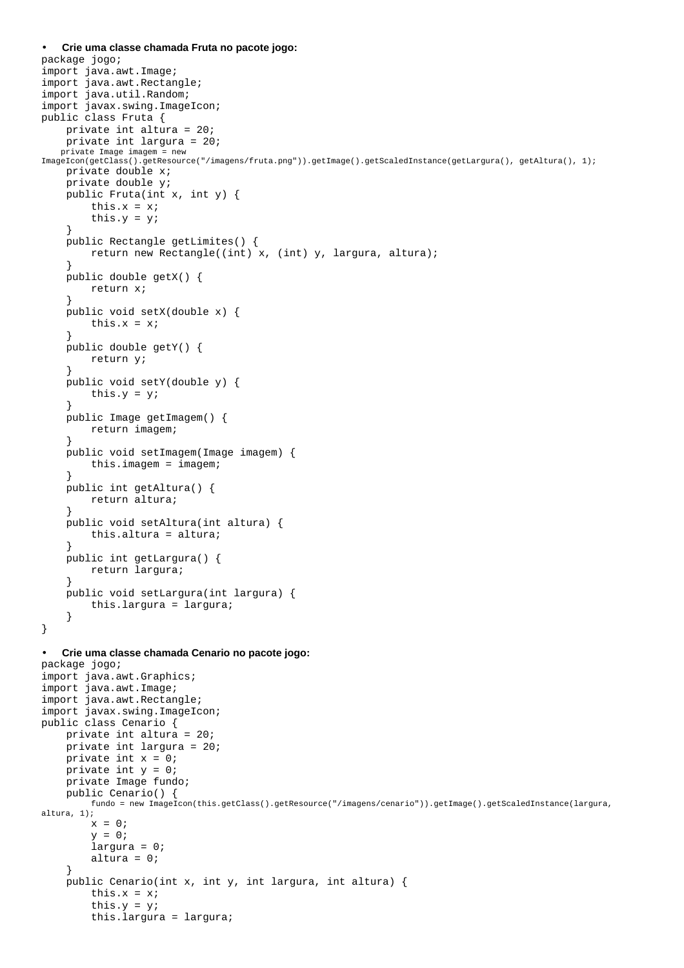```
package jogo; 
import java.awt.Image; 
import java.awt.Rectangle; 
import java.util.Random; 
import javax.swing.ImageIcon; 
public class Fruta { 
     private int altura = 20; 
     private int largura = 20; 
    private Image imagem = new 
ImageIcon(getClass().getResource("/imagens/fruta.png")).getImage().getScaledInstance(getLargura(), getAltura(), 1); 
     private double x; 
     private double y; 
     public Fruta(int x, int y) { 
         this.x = x;
         this.y = y;
     } 
     public Rectangle getLimites() { 
          return new Rectangle((int) x, (int) y, largura, altura); 
     } 
     public double getX() { 
         return x; 
     } 
     public void setX(double x) { 
        this.x = x;
     } 
     public double getY() { 
         return y; 
     } 
     public void setY(double y) { 
        this.y = y;
     } 
     public Image getImagem() { 
         return imagem; 
     } 
     public void setImagem(Image imagem) { 
         this.imagem = imagem; 
     } 
     public int getAltura() { 
         return altura; 
     } 
     public void setAltura(int altura) { 
          this.altura = altura; 
     } 
     public int getLargura() { 
         return largura; 
     } 
     public void setLargura(int largura) { 
         this.largura = largura; 
     } 
} 
• Crie uma classe chamada Cenario no pacote jogo: 
package jogo; 
import java.awt.Graphics; 
import java.awt.Image; 
import java.awt.Rectangle; 
import javax.swing.ImageIcon; 
public class Cenario { 
     private int altura = 20; 
     private int largura = 20; 
     private int x = 0; 
    private int y = 0;
     private Image fundo; 
     public Cenario() { 
         fundo = new ImageIcon(this.getClass().getResource("/imagens/cenario")).getImage().getScaledInstance(largura, 
altura, 1); 
        x = 0;y = 0; largura = 0; 
         altura = 0;
     } 
     public Cenario(int x, int y, int largura, int altura) { 
         this.x = x;
         this.y = y;
```
• **Crie uma classe chamada Fruta no pacote jogo:** 

this.largura = largura;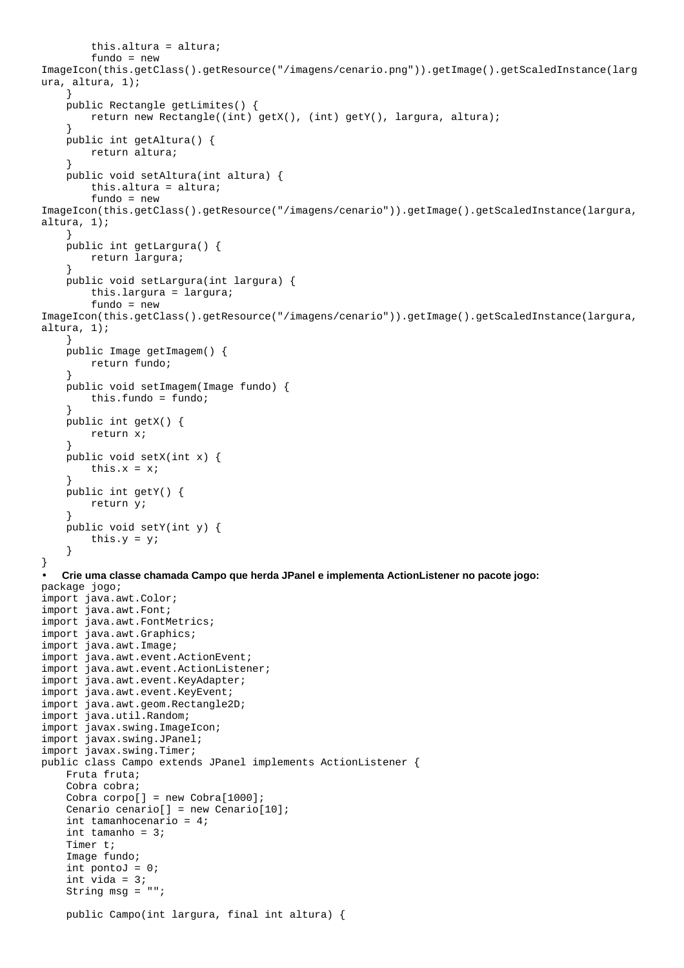```
 this.altura = altura; 
         fundo = new 
ImageIcon(this.getClass().getResource("/imagens/cenario.png")).getImage().getScaledInstance(larg
ura, altura, 1); 
     } 
     public Rectangle getLimites() { 
         return new Rectangle((int) getX(), (int) getY(), largura, altura); 
 } 
     public int getAltura() { 
         return altura; 
     } 
     public void setAltura(int altura) { 
         this.altura = altura; 
         fundo = new 
ImageIcon(this.getClass().getResource("/imagens/cenario")).getImage().getScaledInstance(largura, 
altura, 1); 
     } 
     public int getLargura() { 
         return largura; 
     } 
     public void setLargura(int largura) { 
         this.largura = largura; 
         fundo = new 
ImageIcon(this.getClass().getResource("/imagens/cenario")).getImage().getScaledInstance(largura, 
altura, 1); 
     } 
     public Image getImagem() { 
         return fundo; 
 } 
     public void setImagem(Image fundo) { 
         this.fundo = fundo; 
     } 
     public int getX() { 
         return x; 
     } 
     public void setX(int x) { 
        this.x = xi } 
     public int getY() { 
         return y; 
 } 
     public void setY(int y) { 
         this.y = y; 
     } 
} 
• Crie uma classe chamada Campo que herda JPanel e implementa ActionListener no pacote jogo: 
package jogo; 
import java.awt.Color; 
import java.awt.Font; 
import java.awt.FontMetrics; 
import java.awt.Graphics; 
import java.awt.Image; 
import java.awt.event.ActionEvent; 
import java.awt.event.ActionListener; 
import java.awt.event.KeyAdapter; 
import java.awt.event.KeyEvent; 
import java.awt.geom.Rectangle2D; 
import java.util.Random; 
import javax.swing.ImageIcon; 
import javax.swing.JPanel; 
import javax.swing.Timer; 
public class Campo extends JPanel implements ActionListener { 
     Fruta fruta; 
     Cobra cobra; 
     Cobra corpo[] = new Cobra[1000]; 
    Cenario cenario[] = new Cenario[10];
     int tamanhocenario = 4; 
     int tamanho = 3; 
     Timer t; 
     Image fundo; 
    int pontoJ = 0;
     int vida = 3; 
     String msg = ""; 
     public Campo(int largura, final int altura) {
```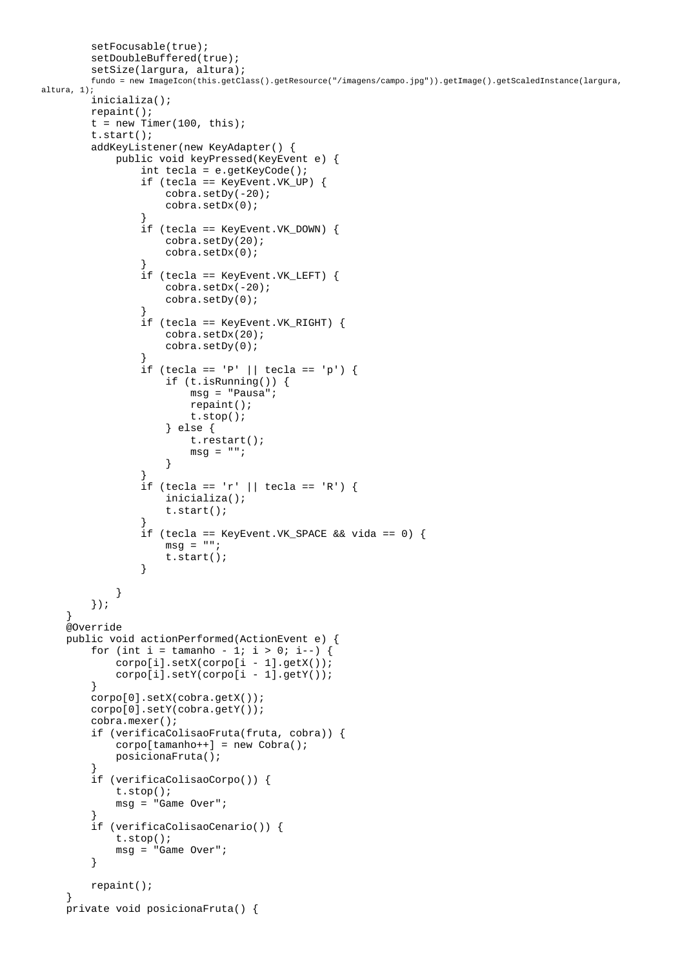```
 setFocusable(true); 
         setDoubleBuffered(true); 
         setSize(largura, altura); 
         fundo = new ImageIcon(this.getClass().getResource("/imagens/campo.jpg")).getImage().getScaledInstance(largura, 
altura, 1); 
         inicializa(); 
         repaint(); 
        t = new Timer(100, this); t.start(); 
         addKeyListener(new KeyAdapter() { 
             public void keyPressed(KeyEvent e) { 
                 int tecla = e.getKeyCode(); 
                 if (tecla == KeyEvent.VK_UP) { 
                     cobra.setDy(-20); 
                     cobra.setDx(0); 
 } 
                 if (tecla == KeyEvent.VK_DOWN) { 
                     cobra.setDy(20); 
                     cobra.setDx(0); 
 } 
                 if (tecla == KeyEvent.VK_LEFT) { 
                     cobra.setDx(-20); 
                     cobra.setDy(0); 
 } 
                 if (tecla == KeyEvent.VK_RIGHT) { 
                     cobra.setDx(20); 
                     cobra.setDy(0); 
 } 
                if (tecla == 'P' || tecla == 'p') {
                     if (t.isRunning()) { 
                         msg = "Pausa"; 
                         repaint(); 
                         t.stop(); 
                     } else { 
                         t.restart(); 
                        msq = " " } 
 } 
                if (tecla == 'r' || tecla == 'R') {
                     inicializa(); 
                     t.start(); 
 } 
                 if (tecla == KeyEvent.VK_SPACE && vida == 0) { 
                    msq = " "t.start();<br>}
 } 
 } 
         }); 
     } 
     @Override 
     public void actionPerformed(ActionEvent e) { 
        for (int i = tamanho - 1; i > 0; i--) {
             corpo[i].setX(corpo[i - 1].getX()); 
             corpo[i].setY(corpo[i - 1].getY()); 
         } 
         corpo[0].setX(cobra.getX()); 
         corpo[0].setY(cobra.getY()); 
         cobra.mexer(); 
         if (verificaColisaoFruta(fruta, cobra)) { 
             corpo[tamanho++] = new Cobra(); 
             posicionaFruta(); 
 } 
         if (verificaColisaoCorpo()) { 
             t.stop(); 
             msg = "Game Over"; 
 } 
         if (verificaColisaoCenario()) { 
             t.stop(); 
            msg = "Game Over"; } 
         repaint(); 
 } 
    private void posicionaFruta() {
```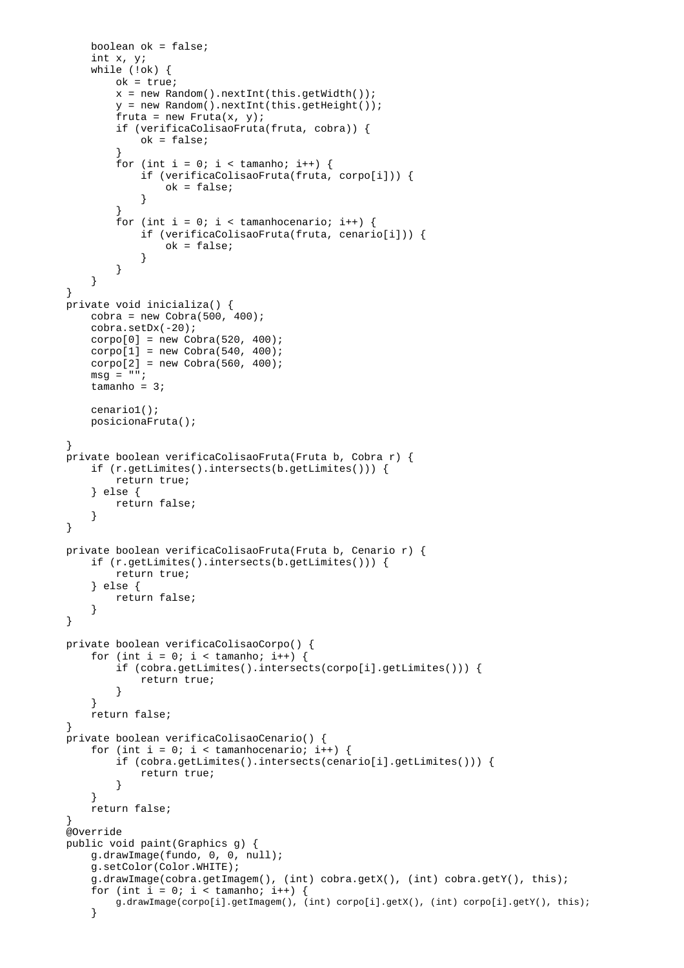```
 boolean ok = false; 
        int x, y; 
        while (!ok) { 
            ok = true; 
           x = new Random() .nextInt(this.getWidth());
            y = new Random().nextInt(this.getHeight()); 
           fruta = new Fruta(x, y); if (verificaColisaoFruta(fruta, cobra)) { 
                ok = false; 
 } 
           for (int i = 0; i < tamanho; i++) {
                if (verificaColisaoFruta(fruta, corpo[i])) { 
                    ok = false; 
 } 
 } 
           for (int i = 0; i < tamanhocenario; i++) {
                if (verificaColisaoFruta(fruta, cenario[i])) { 
                    ok = false; 
 } 
 } 
        } 
    } 
    private void inicializa() { 
       cobra = new Cobra(500, 400);
        cobra.setDx(-20); 
       corpo[0] = new Cobra(520, 400);corpo[1] = new Cobra(540, 400);
       corpo[2] = new Cobra(560, 400);msg = " "tamanho = 3i cenario1(); 
        posicionaFruta(); 
 } 
    private boolean verificaColisaoFruta(Fruta b, Cobra r) { 
        if (r.getLimites().intersects(b.getLimites())) { 
            return true; 
         } else { 
            return false; 
 } 
    } 
    private boolean verificaColisaoFruta(Fruta b, Cenario r) { 
        if (r.getLimites().intersects(b.getLimites())) { 
            return true; 
         } else { 
            return false; 
 } 
    } 
    private boolean verificaColisaoCorpo() { 
       for (int i = 0; i < tamanho; i++) {
            if (cobra.getLimites().intersects(corpo[i].getLimites())) { 
                return true; 
 } 
 } 
        return false; 
 } 
    private boolean verificaColisaoCenario() { 
       for (int i = 0; i < tamanhocenario; i++) {
            if (cobra.getLimites().intersects(cenario[i].getLimites())) { 
                return true; 
 } 
        } 
        return false; 
 } 
    @Override 
    public void paint(Graphics g) { 
        g.drawImage(fundo, 0, 0, null); 
        g.setColor(Color.WHITE); 
        g.drawImage(cobra.getImagem(), (int) cobra.getX(), (int) cobra.getY(), this); 
       for (int i = 0; i < tamanho; i++)
            g.drawImage(corpo[i].getImagem(), (int) corpo[i].getX(), (int) corpo[i].getY(), this); 
 }
```